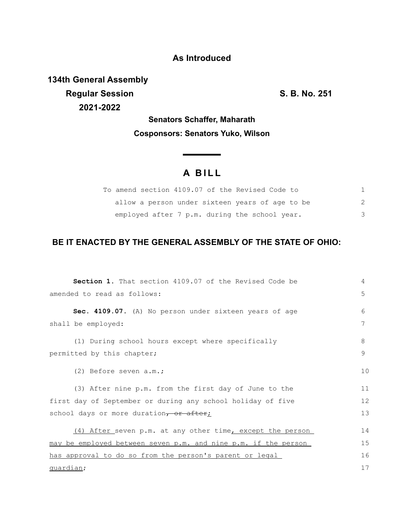## **As Introduced**

**134th General Assembly Regular Session S. B. No. 251 2021-2022**

## **Senators Schaffer, Maharath Cosponsors: Senators Yuko, Wilson**

## **A B I L L**

<u> The Common State State Sta</u>te

| To amend section 4109.07 of the Revised Code to |   |
|-------------------------------------------------|---|
| allow a person under sixteen years of age to be |   |
| employed after 7 p.m. during the school year.   | 3 |

## **BE IT ENACTED BY THE GENERAL ASSEMBLY OF THE STATE OF OHIO:**

| <b>Section 1.</b> That section 4109.07 of the Revised Code be  | 4  |  |
|----------------------------------------------------------------|----|--|
| amended to read as follows:                                    | 5  |  |
| Sec. 4109.07. (A) No person under sixteen years of age         | 6  |  |
| shall be employed:                                             | 7  |  |
| (1) During school hours except where specifically              | 8  |  |
| permitted by this chapter;                                     | 9  |  |
| (2) Before seven a.m.;                                         | 10 |  |
| (3) After nine p.m. from the first day of June to the          | 11 |  |
| first day of September or during any school holiday of five    | 12 |  |
| school days or more duration, or after;                        | 13 |  |
| (4) After seven p.m. at any other time, except the person      | 14 |  |
| may be employed between seven p.m. and nine p.m. if the person | 15 |  |
| has approval to do so from the person's parent or legal        | 16 |  |
| quardian;                                                      |    |  |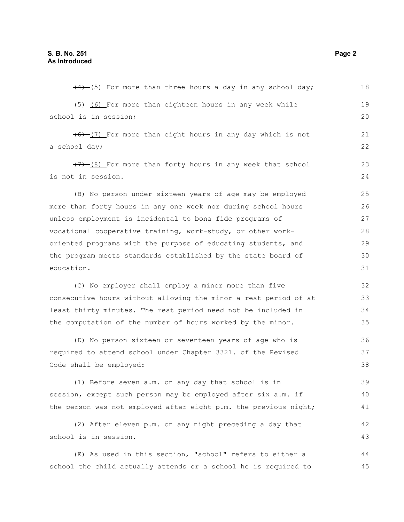| $(4)$ (5) For more than three hours a day in any school day;     | 18 |
|------------------------------------------------------------------|----|
| (6) For more than eighteen hours in any week while               | 19 |
| school is in session;                                            | 20 |
| (6) (7) For more than eight hours in any day which is not        | 21 |
| a school day;                                                    | 22 |
| $(7)$ (8) For more than forty hours in any week that school      | 23 |
| is not in session.                                               | 24 |
| (B) No person under sixteen years of age may be employed         | 25 |
| more than forty hours in any one week nor during school hours    | 26 |
| unless employment is incidental to bona fide programs of         | 27 |
| vocational cooperative training, work-study, or other work-      | 28 |
| oriented programs with the purpose of educating students, and    | 29 |
| the program meets standards established by the state board of    | 30 |
| education.                                                       | 31 |
| (C) No employer shall employ a minor more than five              | 32 |
| consecutive hours without allowing the minor a rest period of at | 33 |
| least thirty minutes. The rest period need not be included in    | 34 |
| the computation of the number of hours worked by the minor.      | 35 |
| (D) No person sixteen or seventeen years of age who is           | 36 |
| required to attend school under Chapter 3321. of the Revised     | 37 |
| Code shall be employed:                                          | 38 |
| (1) Before seven a.m. on any day that school is in               | 39 |
| session, except such person may be employed after six a.m. if    | 40 |
| the person was not employed after eight p.m. the previous night; | 41 |
| (2) After eleven p.m. on any night preceding a day that          | 42 |
| school is in session.                                            | 43 |
| (E) As used in this section, "school" refers to either a         | 44 |
| school the child actually attends or a school he is required to  | 45 |